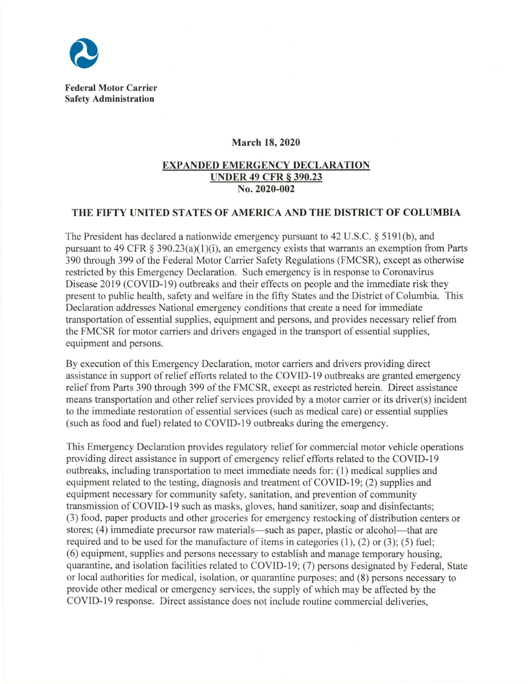

**Federal Motor Carrier Safety Administration** 

## **March 18, 2020**

## **EXP ANDED EMERGENCY DECLARATION UNDER 49 CFR § 390.23 No. 2020-002**

## **THE FIFTY UNITED STATES OF AMERICA AND THE DISTRICT OF COLUMBIA**

The President has declared a nationwide emergency pursuant to 42 U.S.C. § 5191(b), and pursuant to 49 CFR  $\S$  390.23(a)(1)(i), an emergency exists that warrants an exemption from Parts 390 through 399 of the Federal Motor Carrier Safety Regulations (FMCSR), except as otherwise restricted by this Emergency Declaration. Such emergency is in response to Coronavirus Disease 2019 (COVID-19) outbreaks and their effects on people and the immediate risk they present to public health, safety and welfare in the fifty States and the District of Columbia . This Declaration addresses National emergency conditions that create a need for immediate transportation of essential supplies, equipment and persons, and provides necessary relief from the FM CSR for motor carriers and drivers engaged in the transport of essential supplies, equipment and persons.

By execution of this Emergency Declaration, motor carriers and drivers providing direct assistance in support of relief efforts related to the COVID-19 outbreaks are granted emergency relief from Parts 390 through 399 of the FMCSR, except as restricted herein. Direct assistance means transportation and other relief services provided by a motor carrier or its driver(s) incident to the immediate restoration of essential services (such as medical care) or essential supplies (such as food and fuel) related to COVID-19 outbreaks during the emergency.

This Emergency Declaration provides regulatory relief for commercial motor vehicle operations providing direct assistance in support of emergency relief efforts related to the COVID-19 outbreaks, including transportation to meet immediate needs for: (1) medical supplies and equipment related to the testing, diagnosis and treatment of COVID-19; (2) supplies and equipment necessary for community safety, sanitation, and prevention of community transmission of COVID-19 such as masks, gloves, hand sanitizer, soap and disinfectants; (3) food, paper products and other groceries for emergency restocking of distribution centers or stores; (4) immediate precursor raw materials—such as paper, plastic or alcohol—that are required and to be used for the manufacture of items in categories (1), (2) or (3); (5) fuel; (6) equipment, supplies and persons necessary to establish and manage temporary housing, quarantine, and isolation facilities related to COVID-19; (7) persons designated by Federal, State or local authorities for medical, isolation, or quarantine purposes; and (8) persons necessary to provide other medical or emergency services, the supply of which may be affected by the COVID-19 response. Direct assistance does not include routine commercial deliveries,